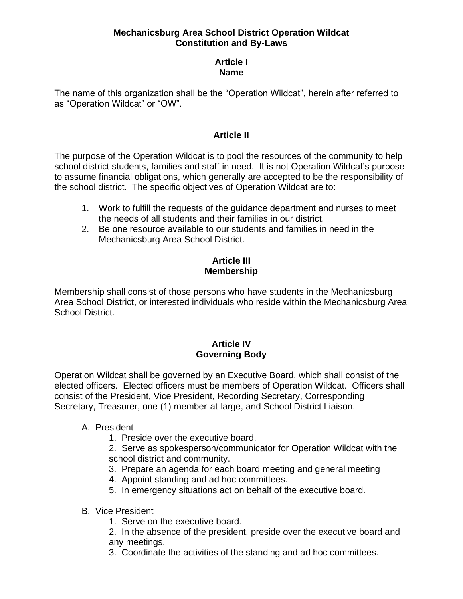### **Mechanicsburg Area School District Operation Wildcat Constitution and By-Laws**

### **Article I Name**

The name of this organization shall be the "Operation Wildcat", herein after referred to as "Operation Wildcat" or "OW".

## **Article II**

The purpose of the Operation Wildcat is to pool the resources of the community to help school district students, families and staff in need. It is not Operation Wildcat's purpose to assume financial obligations, which generally are accepted to be the responsibility of the school district. The specific objectives of Operation Wildcat are to:

- 1. Work to fulfill the requests of the guidance department and nurses to meet the needs of all students and their families in our district.
- 2. Be one resource available to our students and families in need in the Mechanicsburg Area School District.

## **Article III Membership**

Membership shall consist of those persons who have students in the Mechanicsburg Area School District, or interested individuals who reside within the Mechanicsburg Area School District.

### **Article IV Governing Body**

Operation Wildcat shall be governed by an Executive Board, which shall consist of the elected officers. Elected officers must be members of Operation Wildcat. Officers shall consist of the President, Vice President, Recording Secretary, Corresponding Secretary, Treasurer, one (1) member-at-large, and School District Liaison.

### A. President

1. Preside over the executive board.

2. Serve as spokesperson/communicator for Operation Wildcat with the school district and community.

- 3. Prepare an agenda for each board meeting and general meeting
- 4. Appoint standing and ad hoc committees.
- 5. In emergency situations act on behalf of the executive board.
- B. Vice President
	- 1. Serve on the executive board.
	- 2. In the absence of the president, preside over the executive board and any meetings.
	- 3. Coordinate the activities of the standing and ad hoc committees.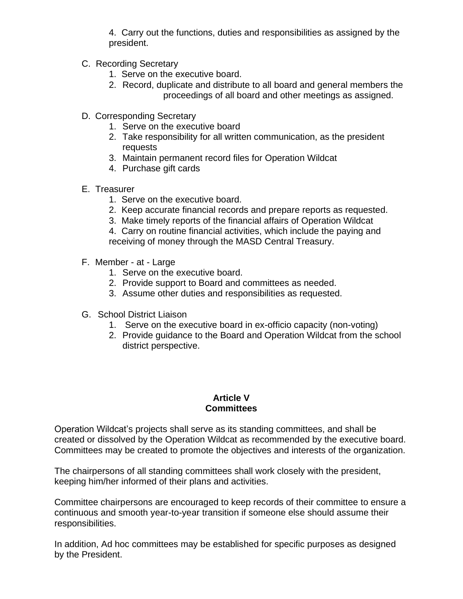4. Carry out the functions, duties and responsibilities as assigned by the president.

- C. Recording Secretary
	- 1. Serve on the executive board.
	- 2. Record, duplicate and distribute to all board and general members the proceedings of all board and other meetings as assigned.
- D. Corresponding Secretary
	- 1. Serve on the executive board
	- 2. Take responsibility for all written communication, as the president requests
	- 3. Maintain permanent record files for Operation Wildcat
	- 4. Purchase gift cards
- E. Treasurer
	- 1. Serve on the executive board.
	- 2. Keep accurate financial records and prepare reports as requested.
	- 3. Make timely reports of the financial affairs of Operation Wildcat

4. Carry on routine financial activities, which include the paying and receiving of money through the MASD Central Treasury.

- F. Member at Large
	- 1. Serve on the executive board.
	- 2. Provide support to Board and committees as needed.
	- 3. Assume other duties and responsibilities as requested.
- G. School District Liaison
	- 1. Serve on the executive board in ex-officio capacity (non-voting)
	- 2. Provide guidance to the Board and Operation Wildcat from the school district perspective.

#### **Article V Committees**

Operation Wildcat's projects shall serve as its standing committees, and shall be created or dissolved by the Operation Wildcat as recommended by the executive board. Committees may be created to promote the objectives and interests of the organization.

The chairpersons of all standing committees shall work closely with the president, keeping him/her informed of their plans and activities.

Committee chairpersons are encouraged to keep records of their committee to ensure a continuous and smooth year-to-year transition if someone else should assume their responsibilities.

In addition, Ad hoc committees may be established for specific purposes as designed by the President.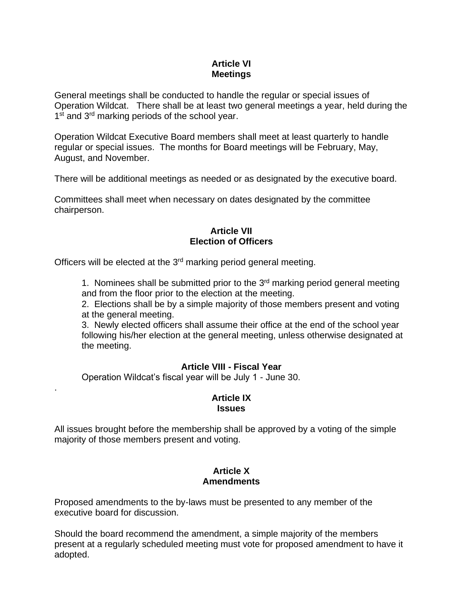# **Article VI Meetings**

General meetings shall be conducted to handle the regular or special issues of Operation Wildcat. There shall be at least two general meetings a year, held during the 1<sup>st</sup> and 3<sup>rd</sup> marking periods of the school year.

Operation Wildcat Executive Board members shall meet at least quarterly to handle regular or special issues. The months for Board meetings will be February, May, August, and November.

There will be additional meetings as needed or as designated by the executive board.

Committees shall meet when necessary on dates designated by the committee chairperson.

#### **Article VII Election of Officers**

Officers will be elected at the 3<sup>rd</sup> marking period general meeting.

1. Nominees shall be submitted prior to the  $3<sup>rd</sup>$  marking period general meeting and from the floor prior to the election at the meeting.

2. Elections shall be by a simple majority of those members present and voting at the general meeting.

3. Newly elected officers shall assume their office at the end of the school year following his/her election at the general meeting, unless otherwise designated at the meeting.

# **Article VIII - Fiscal Year**

Operation Wildcat's fiscal year will be July 1 - June 30.

.

#### **Article IX Issues**

All issues brought before the membership shall be approved by a voting of the simple majority of those members present and voting.

#### **Article X Amendments**

Proposed amendments to the by-laws must be presented to any member of the executive board for discussion.

Should the board recommend the amendment, a simple majority of the members present at a regularly scheduled meeting must vote for proposed amendment to have it adopted.